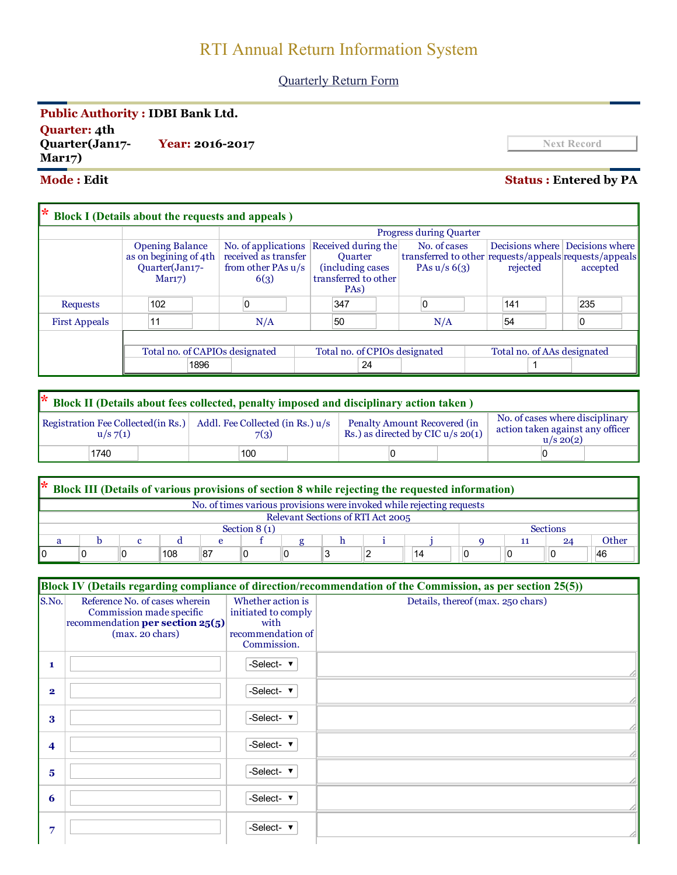# RTI Annual Return Information System

## Quarterly Return Form

## Public Authority : IDBI Bank Ltd.

Quarter: 4th Quarter(Jan17 Mar17) **Year: 2016-2017** Next Record

## Mode : Edit Status : Entered by PA

| l∗                   | <b>Block I</b> (Details about the requests and appeals) |                                |                                |                                         |                      |                                                        |                |                                 |          |  |          |
|----------------------|---------------------------------------------------------|--------------------------------|--------------------------------|-----------------------------------------|----------------------|--------------------------------------------------------|----------------|---------------------------------|----------|--|----------|
|                      |                                                         |                                | <b>Progress during Quarter</b> |                                         |                      |                                                        |                |                                 |          |  |          |
|                      | <b>Opening Balance</b>                                  |                                |                                | No. of applications Received during the |                      | No. of cases                                           |                | Decisions where Decisions where |          |  |          |
|                      | as on begining of 4th                                   | received as transfer           |                                | <b>Ouarter</b>                          |                      | transferred to other requests/appeals requests/appeals |                |                                 |          |  |          |
|                      | Quarter(Jan17-                                          | from other PAs u/s             |                                | (including cases)                       |                      |                                                        | PAs $u/s$ 6(3) |                                 | rejected |  | accepted |
|                      | Mar17)                                                  | 6(3)                           |                                |                                         | transferred to other |                                                        |                |                                 |          |  |          |
|                      |                                                         |                                |                                |                                         | PA <sub>s</sub> )    |                                                        |                |                                 |          |  |          |
| Requests             | 102                                                     |                                |                                | 347                                     |                      |                                                        |                |                                 | 141      |  | 235      |
| <b>First Appeals</b> | 11                                                      | N/A                            |                                | 50                                      |                      |                                                        | N/A            |                                 | 54       |  |          |
|                      |                                                         |                                |                                |                                         |                      |                                                        |                |                                 |          |  |          |
|                      |                                                         | Total no. of CAPIOs designated |                                | Total no. of CPIOs designated           |                      |                                                        |                | Total no. of AAs designated     |          |  |          |
| 1896<br>24           |                                                         |                                |                                |                                         |                      |                                                        |                |                                 |          |  |          |

| * Block II (Details about fees collected, penalty imposed and disciplinary action taken) |      |  |                                          |     |                                                                     |  |  |                                                                                      |  |  |  |
|------------------------------------------------------------------------------------------|------|--|------------------------------------------|-----|---------------------------------------------------------------------|--|--|--------------------------------------------------------------------------------------|--|--|--|
| Registration Fee Collected (in Rs.)<br>u/s 7(1)                                          |      |  | Addl. Fee Collected (in Rs.) u/s<br>7(3) |     | Penalty Amount Recovered (in<br>Rs.) as directed by CIC $u/s$ 20(1) |  |  | No. of cases where disciplinary<br>action taken against any officer<br>$u/s \ 20(2)$ |  |  |  |
|                                                                                          | 1740 |  |                                          | 100 |                                                                     |  |  |                                                                                      |  |  |  |

| l* | Block III (Details of various provisions of section 8 while rejecting the requested information) |  |     |  |  |  |  |  |    |  |    |       |
|----|--------------------------------------------------------------------------------------------------|--|-----|--|--|--|--|--|----|--|----|-------|
|    | No. of times various provisions were invoked while rejecting requests                            |  |     |  |  |  |  |  |    |  |    |       |
|    | Relevant Sections of RTI Act 2005                                                                |  |     |  |  |  |  |  |    |  |    |       |
|    | Section $8(1)$<br><b>Sections</b>                                                                |  |     |  |  |  |  |  |    |  |    |       |
|    |                                                                                                  |  |     |  |  |  |  |  |    |  | 24 | Other |
|    |                                                                                                  |  | 108 |  |  |  |  |  | 14 |  |    | 46    |

|                         | Block IV (Details regarding compliance of direction/recommendation of the Commission, as per section 25(5))                 |                                                                                      |                                   |  |  |  |  |  |
|-------------------------|-----------------------------------------------------------------------------------------------------------------------------|--------------------------------------------------------------------------------------|-----------------------------------|--|--|--|--|--|
| S.No.                   | Reference No. of cases wherein<br>Commission made specific<br>recommendation per section 25(5)<br>$(max. 20 \text{ chars})$ | Whether action is<br>initiated to comply<br>with<br>recommendation of<br>Commission. | Details, thereof (max. 250 chars) |  |  |  |  |  |
| 1                       |                                                                                                                             | -Select- $\blacktriangledown$                                                        |                                   |  |  |  |  |  |
| $\overline{\mathbf{2}}$ |                                                                                                                             | -Select- $\blacktriangledown$                                                        |                                   |  |  |  |  |  |
| 3                       |                                                                                                                             | -Select- $\cdot$                                                                     |                                   |  |  |  |  |  |
| 4                       |                                                                                                                             | -Select- v                                                                           |                                   |  |  |  |  |  |
| 5                       |                                                                                                                             | -Select- ▼                                                                           |                                   |  |  |  |  |  |
| 6                       |                                                                                                                             | -Select- ▼                                                                           |                                   |  |  |  |  |  |
| 7                       |                                                                                                                             | -Select- ▼                                                                           |                                   |  |  |  |  |  |